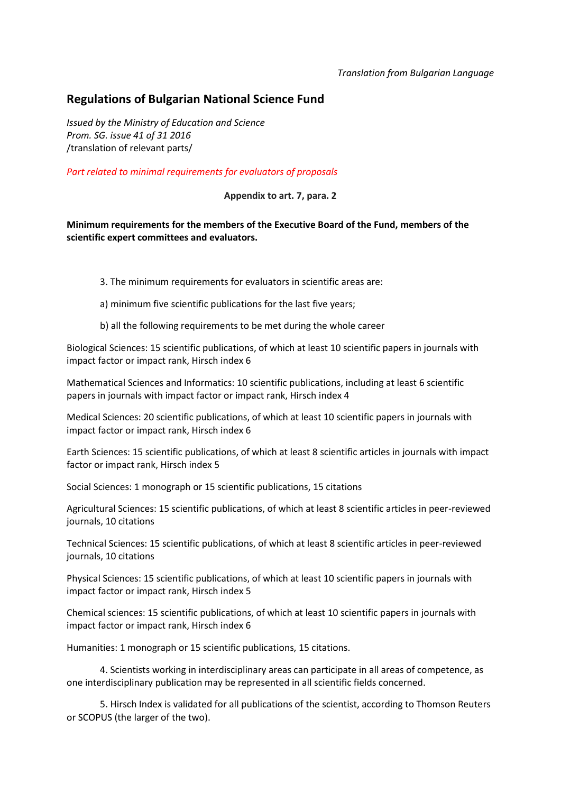## **Regulations of Bulgarian National Science Fund**

*Issued by the Ministry of Education and Science Prom. SG. issue 41 of 31 2016* /translation of relevant parts/

## *Part related to minimal requirements for evaluators of proposals*

## **Appendix to art. 7, para. 2**

## **Minimum requirements for the members of the Executive Board of the Fund, members of the scientific expert committees and evaluators.**

- 3. The minimum requirements for evaluators in scientific areas are:
- a) minimum five scientific publications for the last five years;
- b) all the following requirements to be met during the whole career

Biological Sciences: 15 scientific publications, of which at least 10 scientific papers in journals with impact factor or impact rank, Hirsch index 6

Mathematical Sciences and Informatics: 10 scientific publications, including at least 6 scientific papers in journals with impact factor or impact rank, Hirsch index 4

Medical Sciences: 20 scientific publications, of which at least 10 scientific papers in journals with impact factor or impact rank, Hirsch index 6

Earth Sciences: 15 scientific publications, of which at least 8 scientific articles in journals with impact factor or impact rank, Hirsch index 5

Social Sciences: 1 monograph or 15 scientific publications, 15 citations

Agricultural Sciences: 15 scientific publications, of which at least 8 scientific articles in peer-reviewed journals, 10 citations

Technical Sciences: 15 scientific publications, of which at least 8 scientific articles in peer-reviewed journals, 10 citations

Physical Sciences: 15 scientific publications, of which at least 10 scientific papers in journals with impact factor or impact rank, Hirsch index 5

Chemical sciences: 15 scientific publications, of which at least 10 scientific papers in journals with impact factor or impact rank, Hirsch index 6

Humanities: 1 monograph or 15 scientific publications, 15 citations.

4. Scientists working in interdisciplinary areas can participate in all areas of competence, as one interdisciplinary publication may be represented in all scientific fields concerned.

5. Hirsch Index is validated for all publications of the scientist, according to Thomson Reuters or SCOPUS (the larger of the two).